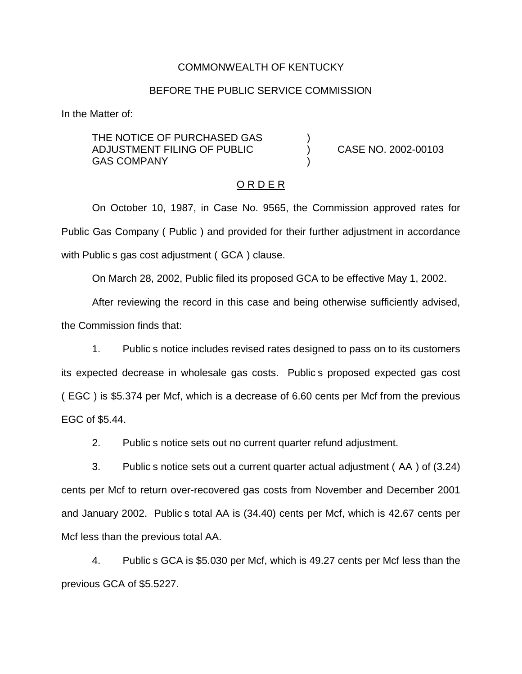### COMMONWEALTH OF KENTUCKY

### BEFORE THE PUBLIC SERVICE COMMISSION

In the Matter of:

THE NOTICE OF PURCHASED GAS ADJUSTMENT FILING OF PUBLIC ) CASE NO. 2002-00103 **GAS COMPANY** 

### O R D E R

On October 10, 1987, in Case No. 9565, the Commission approved rates for Public Gas Company ( Public ) and provided for their further adjustment in accordance with Public s gas cost adjustment ( GCA ) clause.

On March 28, 2002, Public filed its proposed GCA to be effective May 1, 2002.

After reviewing the record in this case and being otherwise sufficiently advised, the Commission finds that:

1. Public s notice includes revised rates designed to pass on to its customers its expected decrease in wholesale gas costs. Public s proposed expected gas cost ( EGC ) is \$5.374 per Mcf, which is a decrease of 6.60 cents per Mcf from the previous EGC of \$5.44.

2. Public s notice sets out no current quarter refund adjustment.

3. Public s notice sets out a current quarter actual adjustment ( AA ) of (3.24) cents per Mcf to return over-recovered gas costs from November and December 2001 and January 2002. Public s total AA is (34.40) cents per Mcf, which is 42.67 cents per Mcf less than the previous total AA.

4. Public s GCA is \$5.030 per Mcf, which is 49.27 cents per Mcf less than the previous GCA of \$5.5227.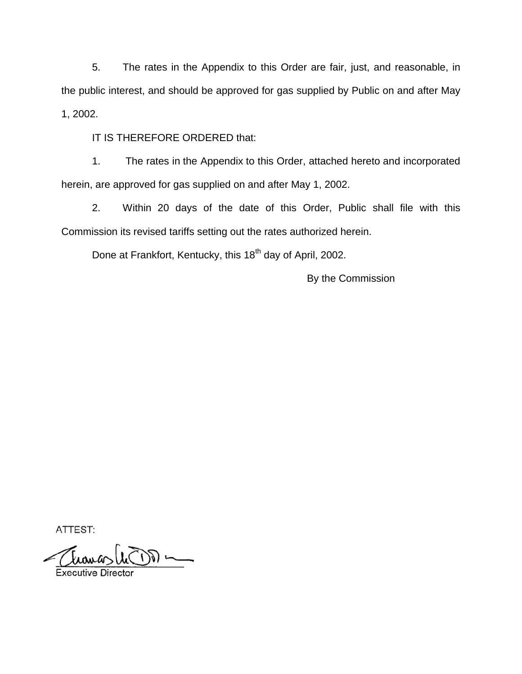5. The rates in the Appendix to this Order are fair, just, and reasonable, in the public interest, and should be approved for gas supplied by Public on and after May 1, 2002.

IT IS THEREFORE ORDERED that:

1. The rates in the Appendix to this Order, attached hereto and incorporated herein, are approved for gas supplied on and after May 1, 2002.

2. Within 20 days of the date of this Order, Public shall file with this Commission its revised tariffs setting out the rates authorized herein.

Done at Frankfort, Kentucky, this 18<sup>th</sup> day of April, 2002.

By the Commission

ATTEST:

**Executive Director**